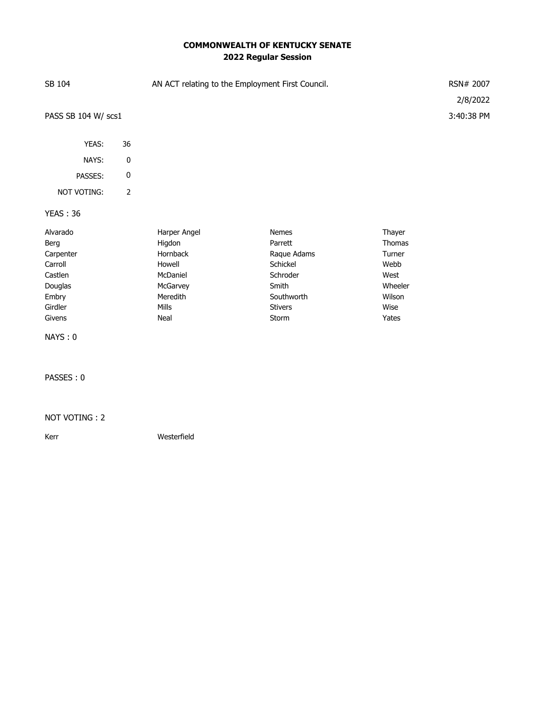## **COMMONWEALTH OF KENTUCKY SENATE 2022 Regular Session**

| SB 104                                                                                       |                | AN ACT relating to the Employment First Council.                                                  | RSN# 2007<br>2/8/2022                                                                                     |                                                                                  |            |
|----------------------------------------------------------------------------------------------|----------------|---------------------------------------------------------------------------------------------------|-----------------------------------------------------------------------------------------------------------|----------------------------------------------------------------------------------|------------|
| PASS SB 104 W/ scs1                                                                          |                |                                                                                                   |                                                                                                           |                                                                                  | 3:40:38 PM |
| YEAS:                                                                                        | 36             |                                                                                                   |                                                                                                           |                                                                                  |            |
| NAYS:                                                                                        | 0              |                                                                                                   |                                                                                                           |                                                                                  |            |
| PASSES:                                                                                      | 0              |                                                                                                   |                                                                                                           |                                                                                  |            |
| NOT VOTING:                                                                                  | $\overline{2}$ |                                                                                                   |                                                                                                           |                                                                                  |            |
| <b>YEAS: 36</b>                                                                              |                |                                                                                                   |                                                                                                           |                                                                                  |            |
| Alvarado<br>Berg<br>Carpenter<br>Carroll<br>Castlen<br>Douglas<br>Embry<br>Girdler<br>Givens |                | Harper Angel<br>Higdon<br>Hornback<br>Howell<br>McDaniel<br>McGarvey<br>Meredith<br>Mills<br>Neal | Nemes<br>Parrett<br>Raque Adams<br>Schickel<br>Schroder<br>Smith<br>Southworth<br><b>Stivers</b><br>Storm | Thayer<br>Thomas<br>Turner<br>Webb<br>West<br>Wheeler<br>Wilson<br>Wise<br>Yates |            |
| NAYS: 0                                                                                      |                |                                                                                                   |                                                                                                           |                                                                                  |            |
| PASSES: 0                                                                                    |                |                                                                                                   |                                                                                                           |                                                                                  |            |
| NOT VOTING: 2                                                                                |                |                                                                                                   |                                                                                                           |                                                                                  |            |

Kerr Westerfield